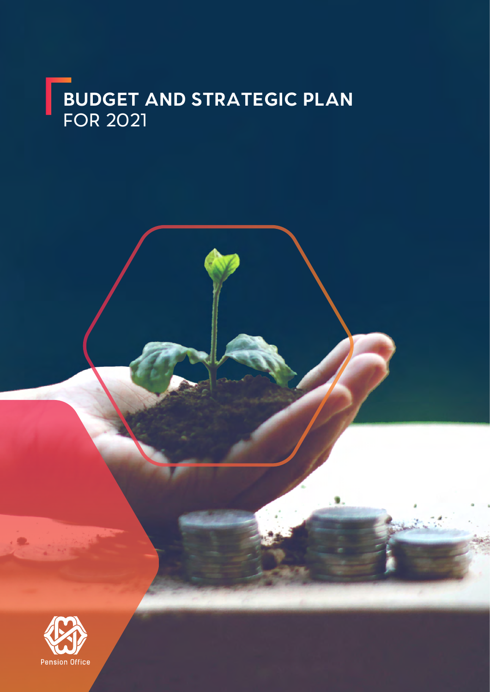## **BUDGET AND STRATEGIC PLAN** FOR 2021

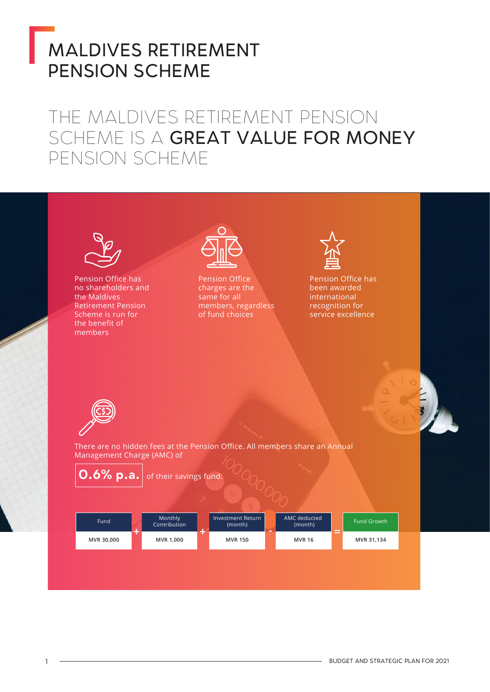# MALDIVES RETIREMENT PENSION SCHEME

### THE MALDIVES RETIREMENT PENSION SCHEME IS A GREAT VALUE FOR MONEY PENSION SCHEME

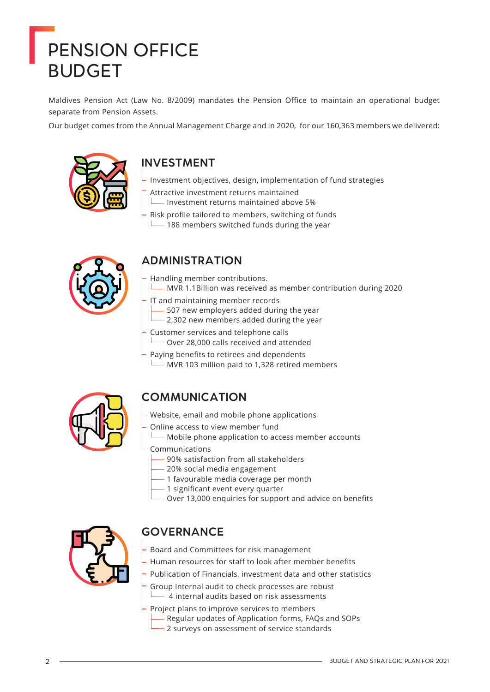# PENSION OFFICE BUDGET

Maldives Pension Act (Law No. 8/2009) mandates the Pension Office to maintain an operational budget separate from Pension Assets.

Our budget comes from the Annual Management Charge and in 2020, for our 160,363 members we delivered:



### **INVESTMENT**

- Investment objectives, design, implementation of fund strategies
- Attractive investment returns maintained
- Investment returns maintained above 5%
- Risk profile tailored to members, switching of funds  $\Box$  188 members switched funds during the year



### **ADMINISTRATION**

- Handling member contributions.
- MVR 1.1Billion was received as member contribution during 2020
- IT and maintaining member records 507 new employers added during the year
	- 2,302 new members added during the year
- Customer services and telephone calls Over 28,000 calls received and attended
- Paying benefits to retirees and dependents MVR 103 million paid to 1,328 retired members



### **COMMUNICATION**

- Website, email and mobile phone applications
- Online access to view member fund
	- Mobile phone application to access member accounts
	- Communications
		- 90% satisfaction from all stakeholders
		- 20% social media engagement
		- 1 favourable media coverage per month
		- 1 significant event every quarter
		- Over 13,000 enquiries for support and advice on benefits



### **GOVERNANCE**

- Board and Committees for risk management
- Human resources for staff to look after member benefits
- Publication of Financials, investment data and other statistics
	- Group Internal audit to check processes are robust 4 internal audits based on risk assessments
	- Project plans to improve services to members Regular updates of Application forms, FAQs and SOPs 2 surveys on assessment of service standards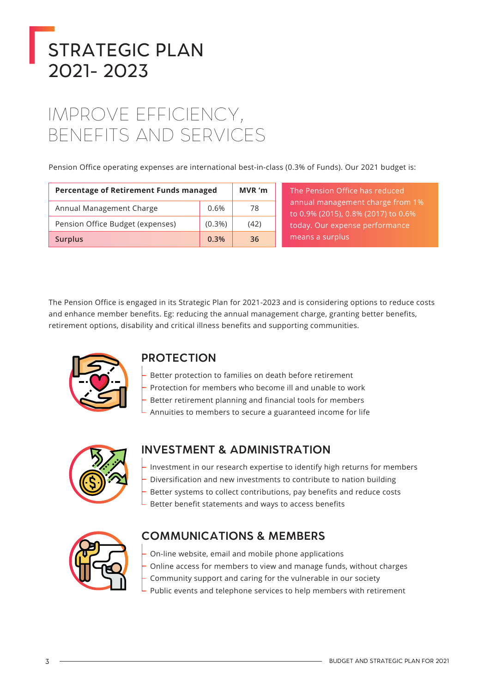# STRATEGIC PLAN 2021- 2023

## IMPROVE EFFICIENCY, BENEFITS AND SERVICES

Pension Office operating expenses are international best-in-class (0.3% of Funds). Our 2021 budget is:

| Percentage of Retirement Funds managed | MVR 'm    |      |
|----------------------------------------|-----------|------|
| Annual Management Charge               | 0.6%      | 78   |
| Pension Office Budget (expenses)       | $(0.3\%)$ | (42) |
| <b>Surplus</b>                         | 0.3%      | 36   |

The Pension Office has reduced annual management charge from 1% to 0.9% (2015), 0.8% (2017) to 0.6% today. Our expense performance means a surplus

The Pension Office is engaged in its Strategic Plan for 2021-2023 and is considering options to reduce costs and enhance member benefits. Eg: reducing the annual management charge, granting better benefits, retirement options, disability and critical illness benefits and supporting communities.



### **PROTECTION**

- Better protection to families on death before retirement
- Protection for members who become ill and unable to work
- Better retirement planning and financial tools for members
- Annuities to members to secure a guaranteed income for life



### **INVESTMENT & ADMINISTRATION**

- Investment in our research expertise to identify high returns for members
- Diversification and new investments to contribute to nation building
- Better systems to collect contributions, pay benefits and reduce costs
- Better benefit statements and ways to access benefits



### **COMMUNICATIONS & MEMBERS**

- On-line website, email and mobile phone applications
- Online access for members to view and manage funds, without charges
- Community support and caring for the vulnerable in our society
- Public events and telephone services to help members with retirement